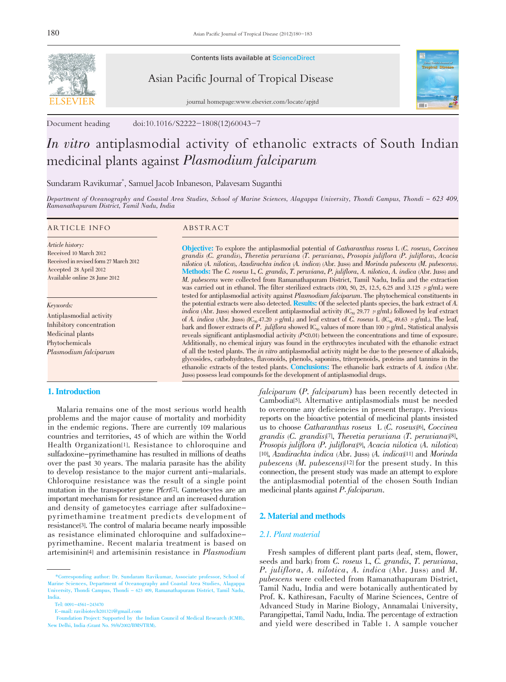

Contents lists available at ScienceDirect

# Asian Pacific Journal of Tropical Disease



journal homepage:www.elsevier.com/locate/apjtd

Document heading doi:10.1016/S2222-1808(12)60043-7

# In vitro antiplasmodial activity of ethanolic extracts of South Indian medicinal plants against Plasmodium falciparum

Sundaram Ravikumar\* , Samuel Jacob Inbaneson, Palavesam Suganthi

Department of Oceanography and Coastal Area Studies, School of Marine Sciences, Alagappa University, Thondi Campus, Thondi - 623 409, Ramanathapuram District, Tamil Nadu, India

#### ARTICLE INFO ABSTRACT

Article history: Received 10 March 2012 Received in revised form 27 March 2012 Accepted 28 April 2012 Available online 28 June 2012

Keywords:

Antiplasmodial activity Inhibitory concentration Medicinal plants Phytochemicals Plasmodium falciparum

### 1. Introduction

 Malaria remains one of the most serious world health problems and the major cause of mortality and morbidity in the endemic regions. There are currently 109 malarious countries and territories, 45 of which are within the World Health Organization[1]. Resistance to chloroquine and sulfadoxine-pyrimethamine has resulted in millions of deaths over the past 30 years. The malaria parasite has the ability to develop resistance to the major current anti-malarials. Chloroquine resistance was the result of a single point mutation in the transporter gene Pfcrt[2]. Gametocytes are an important mechanism for resistance and an increased duration and density of gametocytes carriage after sulfadoxinepyrimethamine treatment predicts development of resistance[3]. The control of malaria became nearly impossible as resistance eliminated chloroquine and sulfadoxinepyrimethamine. Recent malaria treatment is based on artemisinin[4] and artemisinin resistance in Plasmodium

Objective: To explore the antiplasmodial potential of Catharanthus roseus L (C. roseus), Coccinea grandis (C. grandis), Thevetia peruviana (T. peruviana), Prosopis juliflora (P. juliflora), Acacia nilotica (A. nilotica), Azadirachta indica (A. indica) (Abr. Juss) and Morinda pubescens (M. pubescens). Methods: The C. roseus L, C. grandis, T. peruviana, P. juliflora, A. nilotica, A. indica (Abr. Juss) and M. pubescens were collected from Ramanathapuram District, Tamil Nadu, India and the extraction was carried out in ethanol. The filter sterilized extracts (100, 50, 25, 12.5, 6.25 and 3.125  $\mu$  g/mL) were tested for antiplasmodial activity against *Plasmodium falciparum*. The phytochemical constituents in the potential extracts were also detected. **Results:** Of the selected plants species, the bark extract of A. *indica* (Abr. Juss) showed excellent antiplasmodial activity  $(C_{\varphi} 29.77 \mu g/mL)$  followed by leaf extract of A. indica (Abr. Juss) (IC<sub>50</sub> 47.20  $\mu$  g/mL) and leaf extract of C. roseus L (IC<sub>50</sub> 49.63  $\mu$  g/mL). The leaf, bark and flower extracts of P. juliflora showed  $IC_{50}$  values of more than 100  $\mu$  g/mL. Statistical analysis reveals significant antiplasmodial activity  $(P<0.01)$  between the concentrations and time of exposure. Additionally, no chemical injury was found in the erythrocytes incubated with the ethanolic extract of all the tested plants. The *in vitro* antiplasmodial activity might be due to the presence of alkaloids, glycosides, carbohydrates, flavonoids, phenols, saponins, triterpenoids, proteins and tannins in the ethanolic extracts of the tested plants. Conclusions: The ethanolic bark extracts of A. indica (Abr. Juss) possess lead compounds for the development of antiplasmodial drugs.

> falciparum (P. falciparum) has been recently detected in Cambodia[5]. Alternative antiplasmodials must be needed to overcome any deficiencies in present therapy. Previous reports on the bioactive potential of medicinal plants insisted us to choose Catharanthus roseus L (C. roseus)[6], Coccinea grandis (C. grandis)[7], Thevetia peruviana (T. peruviana)[8], Prosopis juliflora (P. juliflora)[9], Acacia nilotica (A. nilotica) [10], Azadirachta indica (Abr. Juss) (A. indica)[11] and Morinda pubescens (M. pubescens)[12] for the present study. In this connection, the present study was made an attempt to explore the antiplasmodial potential of the chosen South Indian medicinal plants against P. falciparum.

## 2. Material and methods

#### 2.1. Plant material

 Fresh samples of different plant parts (leaf, stem, flower, seeds and bark) from C. roseus L, C. grandis, T. peruviana, P. juliflora, A. nilotica, A. indica (Abr. Juss) and M. pubescens were collected from Ramanathapuram District, Tamil Nadu, India and were botanically authenticated by Prof. K. Kathiresan, Faculty of Marine Sciences, Centre of Advanced Study in Marine Biology, Annamalai University, Parangipettai, Tamil Nadu, India. The percentage of extraction and yield were described in Table 1. A sample voucher

 <sup>\*</sup>Corresponding author: Dr. Sundaram Ravikumar, Associate professor, School of Marine Sciences, Department of Oceanography and Coastal Area Studies, Alagappa University, Thondi Campus, Thondi - 623 409, Ramanathapuram District, Tamil Nadu, India.

Tel: 0091-4561-243470

E-mail: ravibiotech201321@gmail.com

Foundation Project: Supported by the Indian Council of Medical Research (ICMR), New Delhi, India (Grant No. 59/6/2002/BMS/TRM).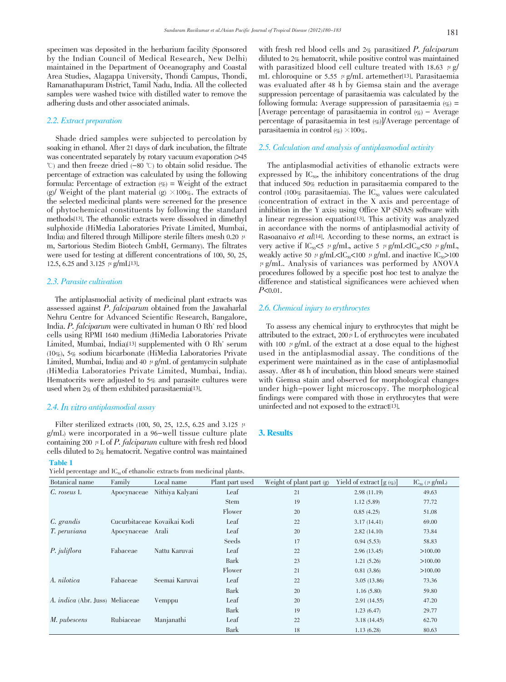specimen was deposited in the herbarium facility (Sponsored by the Indian Council of Medical Research, New Delhi) maintained in the Department of Oceanography and Coastal Area Studies, Alagappa University, Thondi Campus, Thondi, Ramanathapuram District, Tamil Nadu, India. All the collected samples were washed twice with distilled water to remove the adhering dusts and other associated animals.

#### 2.2. Extract preparation

 Shade dried samples were subjected to percolation by soaking in ethanol. After 21 days of dark incubation, the filtrate was concentrated separately by rotary vacuum evaporation  $>45$  $\degree$ ) and then freeze dried (-80  $\degree$ ) to obtain solid residue. The percentage of extraction was calculated by using the following formula: Percentage of extraction  $(\% )$  = Weight of the extract (g)/ Weight of the plant material (g)  $\times 100\%$ . The extracts of the selected medicinal plants were screened for the presence of phytochemical constituents by following the standard methods[13]. The ethanolic extracts were dissolved in dimethyl sulphoxide (HiMedia Laboratories Private Limited, Mumbai, India) and filtered through Millipore sterile filters (mesh 0.20  $\mu$ ) m, Sartorious Stedim Biotech GmbH, Germany). The filtrates were used for testing at different concentrations of 100, 50, 25, 12.5, 6.25 and 3.125  $\mu$  g/mL[13].

#### 2.3. Parasite cultivation

 The antiplasmodial activity of medicinal plant extracts was assessed against P. falciparum obtained from the Jawaharlal Nehru Centre for Advanced Scientific Research, Bangalore, India. P. falciparum were cultivated in human O Rh<sup>+</sup> red blood cells using RPMI 1640 medium (HiMedia Laboratories Private Limited, Mumbai, India)<sup>[13]</sup> supplemented with  $0 Rh<sup>+</sup>$  serum (10%), 5% sodium bicarbonate (HiMedia Laboratories Private Limited, Mumbai, India) and 40  $\mu$  g/mL of gentamycin sulphate (HiMedia Laboratories Private Limited, Mumbai, India). Hematocrits were adjusted to 5% and parasite cultures were used when 2% of them exhibited parasitaemia[13].

# 2.4. In vitro antiplasmodial assay

Filter sterilized extracts (100, 50, 25, 12.5, 6.25 and 3.125  $\mu$ ) g/mL) were incorporated in a 96-well tissue culture plate containing 200  $\mu$  L of *P. falciparum* culture with fresh red blood cells diluted to 2% hematocrit. Negative control was maintained

#### Table 1

Yield percentage and  $IC<sub>60</sub>$  of ethanolic extracts from medicinal plants.

with fresh red blood cells and  $2\%$  parasitized P. falciparum diluted to 2% hematocrit, while positive control was maintained with parasitized blood cell culture treated with 18.63  $\mu$  g/ mL chloroquine or 5.55  $\mu$  g/mL artemether<sup>[13]</sup>. Parasitaemia was evaluated after 48 h by Giemsa stain and the average suppression percentage of parasitaemia was calculated by the following formula: Average suppression of parasitaemia  $(\%)$  = [Average percentage of parasitaemia in control  $(\% )$  – Average percentage of parasitaemia in test  $(\%)$ /Average percentage of parasitaemia in control  $(\%) \times 100\%$ .

#### 2.5. Calculation and analysis of antiplasmodial activity

 The antiplasmodial activities of ethanolic extracts were expressed by  $IC_{50}$ , the inhibitory concentrations of the drug that induced 50% reduction in parasitaemia compared to the control (100% parasitaemia). The  $IC_{50}$  values were calculated (concentration of extract in the X axis and percentage of inhibition in the Y axis) using Office XP (SDAS) software with a linear regression equation[13]. This activity was analyzed in accordance with the norms of antiplasmodial activity of Rasoanaivo et al<br/>[14]. According to these norms, an extract is very active if IC<sub>50</sub> $\lt$ 5  $\mu$  g/mL, active 5  $\mu$  g/mL $\lt$ IC<sub>50</sub> $\lt$ 50  $\mu$  g/mL, weakly active 50  $\mu$  g/mL<IC<sub>50</sub><100  $\mu$  g/mL and inactive IC<sub>50</sub>>100  $\mu$  g/mL. Analysis of variances was performed by ANOVA procedures followed by a specific post hoc test to analyze the difference and statistical significances were achieved when  $P<sub>0.01</sub>$ .

#### 2.6. Chemical injury to erythrocytes

 To assess any chemical injury to erythrocytes that might be attributed to the extract,  $200 \mu L$  of erythrocytes were incubated with 100  $\mu$  g/mL of the extract at a dose equal to the highest used in the antiplasmodial assay. The conditions of the experiment were maintained as in the case of antiplasmodial assay. After 48 h of incubation, thin blood smears were stained with Giemsa stain and observed for morphological changes under high-power light microscopy. The morphological findings were compared with those in erythrocytes that were uninfected and not exposed to the extract[13].

#### 3. Results

| Botanical name                         | Family            | Local name                  | Plant part used | Weight of plant part $(g)$ | Yield of extract $[g(\mathscr{G})]$ | $\text{IC}_{\text{so}}$ ( $\mu$ g/mL) |
|----------------------------------------|-------------------|-----------------------------|-----------------|----------------------------|-------------------------------------|---------------------------------------|
| $C.$ roseus $L$                        | Apocynaceae       | Nithiya Kalyani             | Leaf            | 21                         | 2.98(11.19)                         | 49.63                                 |
|                                        |                   |                             | <b>Stem</b>     | 19                         | 1.12(5.89)                          | 77.72                                 |
|                                        |                   |                             | Flower          | 20                         | 0.85(4.25)                          | 51.08                                 |
| C. grandis                             |                   | Cucurbitaceae Kovaikai Kodi | Leaf            | 22                         | 3.17(14.41)                         | 69.00                                 |
| T. peruviana                           | Apocynaceae Arali |                             | Leaf            | 20                         | 2.82(14.10)                         | 73.84                                 |
|                                        |                   |                             | Seeds           | 17                         | 0.94(5.53)                          | 58.83                                 |
| P. juliflora                           | Fabaceae          | Nattu Karuvai               | Leaf            | 22                         | 2.96(13.45)                         | >100.00                               |
|                                        |                   |                             | Bark            | 23                         | 1.21(5.26)                          | >100.00                               |
|                                        |                   |                             | Flower          | 21                         | 0.81(3.86)                          | >100.00                               |
| A. nilotica                            | Fabaceae          | Seemai Karuvai              | Leaf            | 22                         | 3.05(13.86)                         | 73.36                                 |
|                                        |                   |                             | Bark            | 20                         | 1.16(5.80)                          | 59.80                                 |
| A. <i>indica</i> (Abr. Juss) Meliaceae |                   | Vemppu                      | Leaf            | 20                         | 2.91(14.55)                         | 47.20                                 |
|                                        |                   |                             | Bark            | 19                         | 1.23(6.47)                          | 29.77                                 |
| M. pubescens                           | Rubiaceae         | Manjanathi                  | Leaf            | 22                         | 3.18(14.45)                         | 62.70                                 |
|                                        |                   |                             | Bark            | 18                         | 1.13(6.28)                          | 80.63                                 |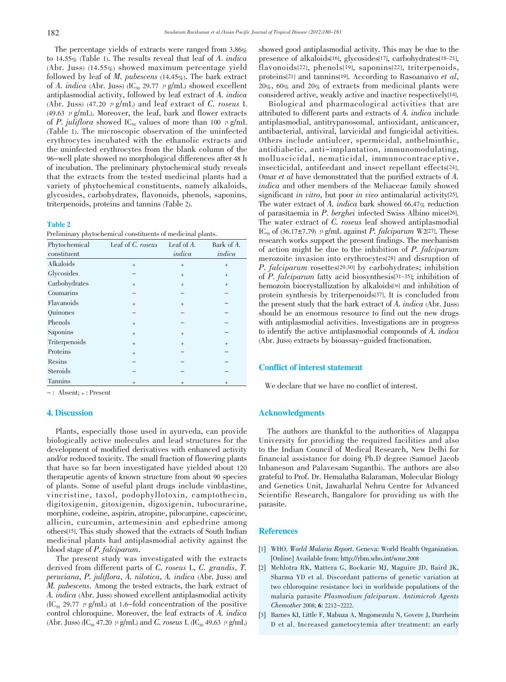The percentage yields of extracts were ranged from 3.86% to 14.55% (Table 1). The results reveal that leaf of A. indica (Abr. Juss) (14.55%) showed maximum percentage yield followed by leaf of M. pubescens  $(14.45\%)$ . The bark extract of A. indica (Abr. Juss) (IC<sub>50</sub> 29.77  $\mu$  g/mL) showed excellent antiplasmodial activity, followed by leaf extract of A. indica (Abr. Juss) (47.20  $\mu$  g/mL) and leaf extract of C. roseus L (49.63  $\mu$  g/mL). Moreover, the leaf, bark and flower extracts of P. juliflora showed IC<sub>50</sub> values of more than 100  $\mu$  g/mL (Table 1). The microscopic observation of the uninfected erythrocytes incubated with the ethanolic extracts and the uninfected erythrocytes from the blank column of the 96-well plate showed no morphological differences after 48 h of incubation. The preliminary phytochemical study reveals that the extracts from the tested medicinal plants had a variety of phytochemical constituents, namely alkaloids, glycosides, carbohydrates, flavonoids, phenols, saponins, triterpenoids, proteins and tannins (Table 2).

#### Table 2

Preliminary phytochemical constituents of medicinal plants.

| Phytochemical   | Leaf of C. roseus | Leaf of $A$ . | Bark of A. |
|-----------------|-------------------|---------------|------------|
| constituent     |                   | indica        | indica     |
| Alkaloids       | $^{+}$            | $+$           | $+$        |
| Glycosides      |                   | $+$           | $+$        |
| Carbohydrates   | $^{+}$            | $+$           | $+$        |
| Coumarins       |                   |               |            |
| Flavanoids      | $+$               | $+$           |            |
| Quinones        |                   |               |            |
| Phenols         | $+$               |               |            |
| Saponins        | $+$               | $+$           |            |
| Triterpenoids   | $+$               | $+$           | $+$        |
| Proteins        | $^{+}$            |               |            |
| Resins          |                   |               |            |
| <b>Steroids</b> |                   |               |            |
| Tannins         | $+$               | $+$           | $+$        |

 $-$ : Absent;  $+$ : Present

### 4. Discussion

 Plants, especially those used in ayurveda, can provide biologically active molecules and lead structures for the development of modified derivatives with enhanced activity and/or reduced toxicity. The small fraction of flowering plants that have so far been investigated have yielded about 120 therapeutic agents of known structure from about 90 species of plants. Some of useful plant drugs include vinblastine, vincristine, taxol, podophyllotoxin, camptothecin, digitoxigenin, gitoxigenin, digoxigenin, tubocurarine, morphine, codeine, aspirin, atropine, pilocarpine, capscicine, allicin, curcumin, artemesinin and ephedrine among others[15]. This study showed that the extracts of South Indian medicinal plants had antiplasmodial activity against the blood stage of P. falciparum.

 The present study was investigated with the extracts derived from different parts of C. roseus L, C. grandis, T. peruviana, P. juliflora, A. nilotica, A. indica (Abr. Juss) and M. pubescens. Among the tested extracts, the bark extract of A. indica (Abr. Juss) showed excellent antiplasmodial activity  $(IC_{50} 29.77 \mu g/mL)$  at 1.6-fold concentration of the positive control chloroquine. Moreover, the leaf extracts of A. indica (Abr. Juss) (IC<sub>50</sub> 47.20  $\mu$  g/mL) and *C. roseus* L (IC<sub>50</sub> 49.63  $\mu$  g/mL)

showed good antiplasmodial activity. This may be due to the presence of alkaloids[16], glycosides[17], carbohydrates[18-21], flavonoids[22], phenols[19], saponins[22], triterpenoids, proteins[21] and tannins[19]. According to Rasoanaivo et al, 20%, 60% and 20% of extracts from medicinal plants were considered active, weakly active and inactive respectively[14].

 Biological and pharmacological activities that are attributed to different parts and extracts of A. indica include antiplasmodial, antitrypanosomal, antioxidant, anticancer, antibacterial, antiviral, larvicidal and fungicidal activities. Others include antiulcer, spermicidal, anthelminthic, antidiabetic, anti-implantation, immunomodulating, molluscicidal, nematicidal, immunocontraceptive, insecticidal, antifeedant and insect repellant effects[24]. Omar et al have demonstrated that the purified extracts of A. indica and other members of the Meliaceae family showed significant in vitro, but poor in vivo antimalarial activity<sup>[25]</sup>. The water extract of A. indica bark showed 66.47% reduction of parasitaemia in P. berghei infected Swiss Albino mice[26]. The water extract of C. roseus leaf showed antiplasmodial IC<sub>50</sub> of (36.17±7.79)  $\mu$  g/mL against P. falciparum W2[27]. These research works support the present findings. The mechanism of action might be due to the inhibition of P. falciparum merozoite invasion into erythrocytes[28] and disruption of P. falciparum rosettes[29,30] by carbohydrates; inhibition of P. falciparum fatty acid biosynthesis[31-35]; inhibition of hemozoin biocrystallization by alkaloids[36] and inhibition of protein synthesis by triterpenoids[37]. It is concluded from the present study that the bark extract of A. indica (Abr. Juss) should be an enormous resource to find out the new drugs with antiplasmodial activities. Investigations are in progress to identify the active antiplasmodial compounds of A. indica (Abr. Juss) extracts by bioassay-guided fractionation.

#### Conflict of interest statement

We declare that we have no conflict of interest.

#### Acknowledgments

 The authors are thankful to the authorities of Alagappa University for providing the required facilities and also to the Indian Council of Medical Research, New Delhi for financial assistance for doing Ph.D degree (Samuel Jacob Inbaneson and Palavesam Suganthi). The authors are also grateful to Prof. Dr. Hemalatha Balaraman, Molecular Biology and Genetics Unit, Jawaharlal Nehru Centre for Advanced Scientific Research, Bangalore for providing us with the parasite.

#### **References**

- $\overline{a}$ [1] WHO. World Malaria Report. Geneva: World Health Organization. [Online] Available from: http://rbm.who.int/wmr.2008
- [2] Mehlotra RK, Mattera G, Bockarie MJ, Maguire JD, Baird JK, Sharma YD et al. Discordant patterns of genetic variation at two chloroquine resistance loci in worldwide populations of the malaria parasite Plasmodium falciparum. Antimicrob Agents Chemother 2008; 6: 2212-2222.
- [3] Barnes KI, Little F, Mabuza A, Mngomezulu N, Govere J, Durrheim D et al. Increased gametocytemia after treatment: an early